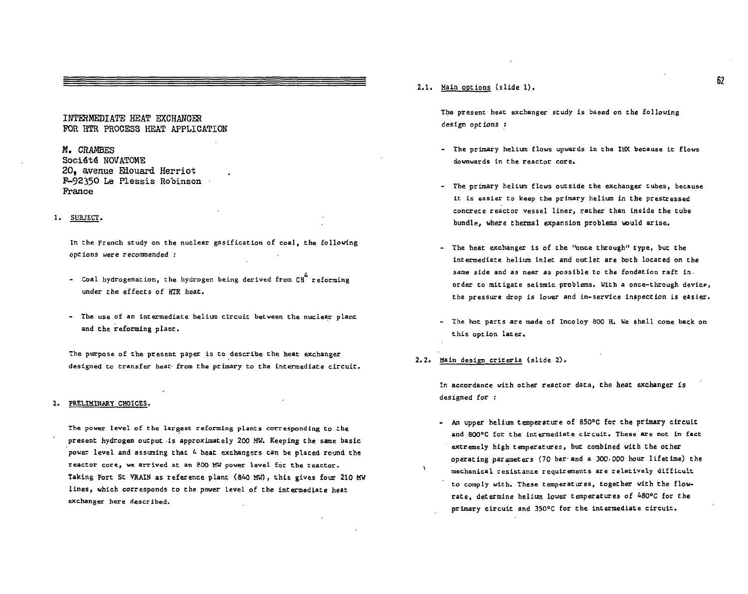### INTERMEDIATE HEAT EXCHANGER FOR HTR PROCESS HEAT APPLICATION

### M. CRAMBES

Société NOVATOME 20, avenue Eiouard Herriot F-92350 Le Plessis Robinson Prance

#### 1. SUBJECT.

In the French study on the nuclear gasification of coal, the following **options were recommended :** 

- **Coal hydrogenation, the hydrogen being derived from CH reforming under the effects of HTR heat.**
- **The use of an intermediate helium circuit between the nuclear plant and the reforming plant.**

**The purpose of the present paper is to describe the heat exchanger designed to transfe r heat- from the primary to the intermediate circuit.** 

#### **2. PRELIMINARY CHOICES.**

The power level of the largest reforming plants corresponding to the **present hydrogen output -is approximately 200 MW. Keeping the same basic**  power level and assuming that 4 heat exchangers can be placed round the reactor core, we arrived at an 800 MW power level for the reactor. Taking Fort St VRAIN as reference plant (840 MW), this gives four 210 MW lines, which corresponds to the power level of the intermediate heat **exchanger here described.** 

2.1. Main options (slide 1).

**The present heat exchanger study is based on the following design options .'** 

- **The primary helium Elows upwards in the IHX because it flows downwards in the reactor core.**
- **The primary helium flows outside the exchanger tubes, because**  it is easier to keep the primary helium in the prestressed concrete reactor vessel liner, rather than inside the tube bundle, where thermal expansion problems would arise.
- **The heat exchanger is of the "once through" type , but the**  intermediate helium inlet and outlet are both located on the same side and as near as possible to the fondation raft in. order to mitigate seismic problems. With a once-through device, the pressure drop is lower and in-service inspection is easier.
- **The hot parts are made of Incoloy 800 H. We shall come back on this option later .**
- 2.2. Main design criteria (slide 2).

**In accordance with other reactor data, the heat exchanger is designed for :** 

**- An upper helium temperature of 850°C for the primary circuit and 800°C for the intermediate circuit. These are not in fact extremely high temperatures, but combined with the other operating parameters (70 bar-and a 300.000 hour lifetime ) the mechanical resistanc e requirements are relativel y difficult**  to comply with. These temperatures, together with the flow**rate , determine helium lower temperatures of 480°C for the primary circuit and 350°C for the intermediate circuit.** 

62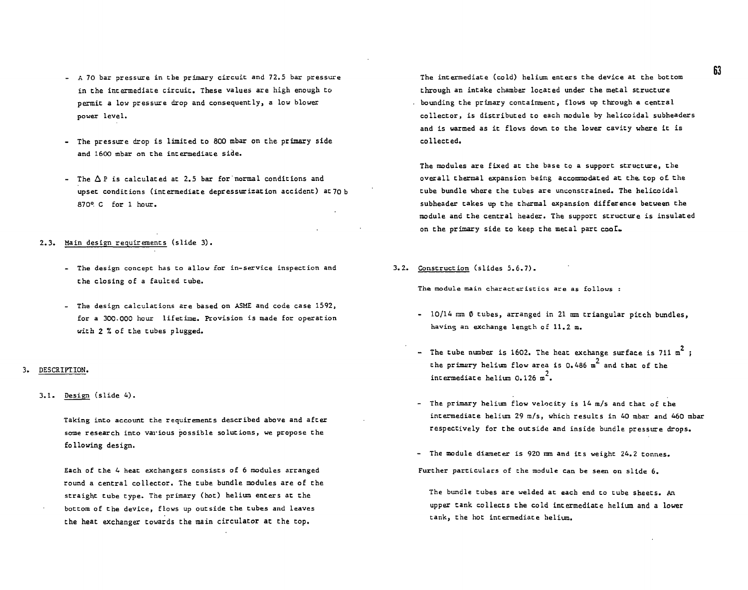- A 70 bar pressure in the primary circuit and 72.5 bar pressure in che intermediate circuit. These values are high enough to permit a low pressure drop and consequently, a low blower power level.
- The pressure drop is limited to 800 mbar on the primary side and 1600 mbar on the intermediate side.
- The  $\Delta P$  is calculated at 2.5 bar for normal conditions and upset conditions (intermediate depressurization accident) at7o b 870°. C for 1 hour.
- 2.3 . Main design requirements (slide 3).
	- The design concept has to allow for in-service inspection and the closing of a faulted tube.
	- The design calculations are based on ASME and code case 1592, for a 300.000 hour lifetime. Provision is made for operation with 2 7. of the tubes plugged.

#### $3.$ DESCRIPTION.

3.1. Design (slide 4).

Taking into account the requirements described above and after some research into various possible solutions, we propose the following design.

Each of the 4 heat exchangers consists of 6 modules arranged round a central collector. The tube bundle modules are of the straight tube type. The primary (hot) helium enters at the bottom of the device, flows up outside the tubes and leaves the heat exchanger towards the main circulator at the top.

The intermediate (cold) helium enters the device at the bottom through an intake chamber located under the metal structure bounding the primary containment, flows up through a central collector, is distributed to each module by helicoidal subheaders and is warmed as it flows down to the lower cavity where it is collected.

The modules are fixed at the base to a support structure, the overall thermal expansion being accommodated at the. top of the tube bundle where the tubes are unconstrained. The helicoidal subheader cakes up the thermal expansion difference between the module and the central header. The support structure is insulated on the primary side to keep the metal part cool.

3.2. Construction (slides 5.6.7).

The module main characteristics are as follows :

- 10/14 mm Ø tubes, arranged in 21 mm triangular pitch bundles, having an exchange length of 11.2 m.
- 2 - The tube number is 1602. The heat exchange surface is 711 m ; the primary helium flow area is  $0.486$  m<sup>2</sup> and that of the intermediate helium 0.126 m<sup>2</sup>.
- The primary helium flow velocity is 14 m/s and that of the intermediate helium 29 m/s, which results in 40 mbar and 460 mbar respectively for the outside and inside bundle pressure drops.
- The module diameter is 920 nm and its weight 24.2 tonnes. Further particulars of the module can be seen on slide 6.
	- The bundle tubes are welded at each end to tube sheets. An upper tank collects the cold intermediate helium and a lower tank, the hot intermediate helium.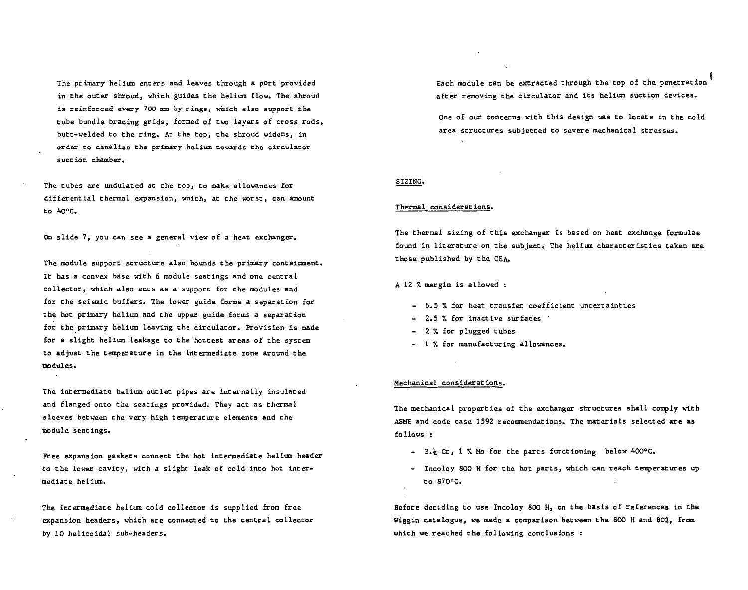**The primary helium enters and leaves through a port provided in the outer shroud, which guides the helium flow. The shroud is reinforced every 700** *am* **by rings, which also support Che cube bundle bracing grids, formed of two layers of cross rods, butt-welded to the ring. At the top, the shroud widens, in order to canalize the primary helium towards the circulator suction chamber.** 

**The tubes are undulated at the top, to make allowances for differential thermal expansion, which, at the worst, can amount to Ao°C.** 

**On slide 7, you can see a general view of a heat exchanger.** 

**The module support structure also bounds the primary containment. It has a convex base with 6 module seatings and one central collector, which also acts as a support for the modules and for the seismic buffers. The lower guide forms a separation for the hot primary helium and the upper guide forms a separation for the primary helium leaving the circulator. Provision is made for a slight helium leakage to the hottest areas of the system to adjust the temperature in the intermediate zone around the modules.** 

**The intermediate helium outlet pipes are internally insulated and flanged onto the seatings provided. They act as thermal sleeves between the very high temperature elements and the module seatings.** 

**Free expansion gaskets connect the hot intermediate helium header to the lower cavity, with a slight leak of cold into hot intermediate helium.** 

**The intermediate helium cold collector is supplied from free expansion headers, which are connected to the central collector by 10 helicoidal sub-headers.** 

**Each module can be extracted through the top of the penetration after removing the circulator and its helium suction devices.** 

**One of our concerns with this design was to locate in the cold area structures subjected to severe mechanical stresses.** 

### **SIZING.**

#### **Thermal considerations.**

**The thermal sizing of this exchanger is based on heat exchange formulae found in literature on the subject. The helium characteristics taken are those published by the CEA.** 

**A 12 7. margin is allowed :** 

- **6.5 7. for heat transfer coefficient uncertainties**
- **2.5 7. for inactive surfaces**
- **2 7. for plugged tubes**
- **17. for manufacturing allowances.**

#### **Mechanical considerations.**

**The mechanical properties of Che exchanger structures shall comply with**  ASME and code case 1592 recommendations. The materials selected are as **fo 1 lows :** 

- **-** *2.\* **Cr, 1 7. Mo for the parts functioning below 400°C.**
- **Incoloy 800 H for the hot parts, which can reach temperatures up to 870°C.**

**Before deciding Co use Incoloy 800 H, on the basis of references in Che Wiggin catalogue, we made a comparison between the 800 H and 802, from which we reached the following conclusions :**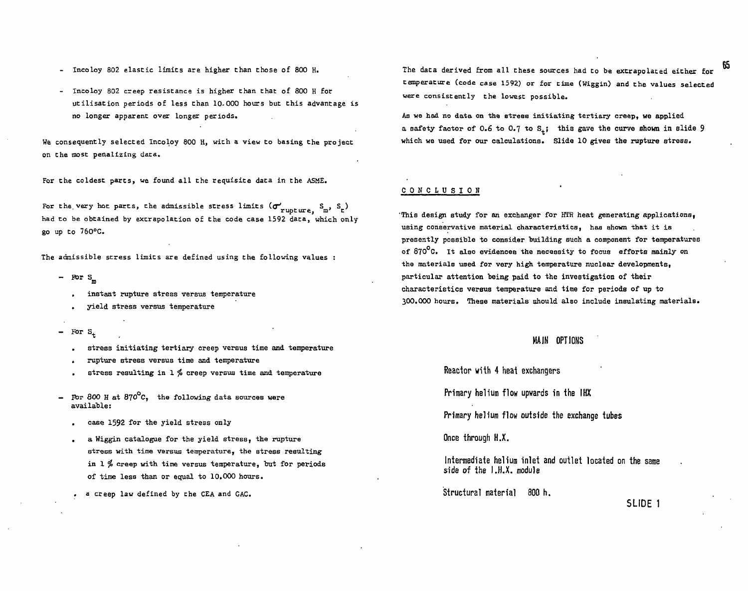- Incoloy 802 elastic limits are higher than those of 800 H.
- **Incoloy 802 creep resistance is higher than that of 800 H for utilisation periods of less than 10-000 hours but this advantage is no longer apparent over longer periods.**

**We consequently selected Incoloy 800 H, with a view to basing the project on the most penalizing data.** 

**For the coldest parts, we found al l the requisite data in the ASME.** 

For the very hot parts, the admissible stress limits  $(\sigma'_{\tt rupture}, \, {\tt S_n}, \, {\tt S_t})$ had to be obtained by extrapolation of the code case 1592 data, which only go up to 760°C.

**The admissible stress limits are defined using the following values :** 

**- For S** 

**IB** 

- **, instant rupture stress versus temperature**
- **. yield stress versus temperature**
- For  $S_+$ 
	- **. stress initiating tertiary creep versus time and temperature**
	- **. rupture stress versus time and temperature**
	- **. stress resulting in 1 \$ creep versus time and temperature**
- For 800 H at 870<sup>o</sup>C, the following data sources were **available:** 
	- **. case 1592 for the yield stress only**
	- **. a Wiggin catalogue for the yield stress, the rupture stress with time versus temperature, the stress resulting in 1 \$ creep with time versus temperature, Dut for periods of time less than or equal to 10.000 hours.**

**. a creep law defined by the CEA and GAC.** 

**The data derived from all these sources had to be extrapolated either for temperature (code case 1592) or for time (Wiggin) and the values selected were consistently the lowest possible.** 

**As we had no data on the stress initiating tertiary creep, we applied a safety factor of 0.6 to 0.7 to S.; this gave the curve shown in slide 9 which we used for our calculations. Slide 10 gives the rupture stress.** 

#### **CONCLUSIO N**

**This design study for an exchanger for HTR heat generating applications, using conservative material characteristics, has shown that it is presently possible to consider building such a component for temperatures of 870 C. It also evidences the necessity to focus efforts mainly on the materials used for very high temperature nuclear developments, particular attention being paid to the investigation of their characteristics versus temperature and time for periods of up to 300.000 hours. These materials should also include insulating materials.** 

### **MAIN OPTIONS**

**Reactor with 4 heat exchangers** 

**Primary helium flow upwards in the IHX** 

**Primary helium flow outside the exchange tubes** 

**Once through H X** 

**Intermediate helium inlet and outlet located on the same side of the I.H.X. module** 

**Structural material 800 h.** 

### **SLIDE 1**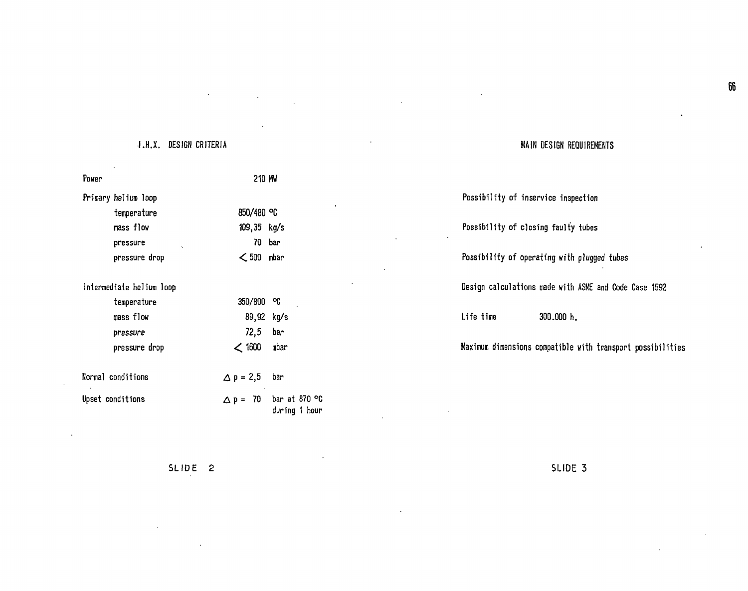# **I.H.X. DESIGN CRITERIA**

| Power                    | 210 MW                                                               |
|--------------------------|----------------------------------------------------------------------|
| Primary helium loop      |                                                                      |
| temperature              | 850/480 °C                                                           |
| mass flow                | $109,35$ kg/s                                                        |
| pressure                 | 70 bar                                                               |
| pressure drop            | $<$ 500 mbar                                                         |
| Intermediate helium loop |                                                                      |
| temperature              | 350/800<br>οÇ                                                        |
| mass flow                | 89,92 kg/s                                                           |
| pressure                 | 72,5<br>bar                                                          |
| pressure drop            | $<$ 1600<br>mbar                                                     |
| Normal conditions        | $\Delta p = 2,5$<br>bar                                              |
| Upset conditions         | bar at 870 $\degree$ C<br>- 70 -<br>$\triangle$ P =<br>during 1 hour |

# **MAIN DESIGN REQUIREMENTS**

| Possibility of inservice inspection                       |
|-----------------------------------------------------------|
| Possibility of closing faulty tubes                       |
| Possibility of operating with plugged tubes               |
| Design calculations made with ASME and Code Case 1592     |
| Life time<br>300.000 h.                                   |
| Maximum dimensions compatible with transport possibilitie |

**SLID E 2** 

**SLID E 3**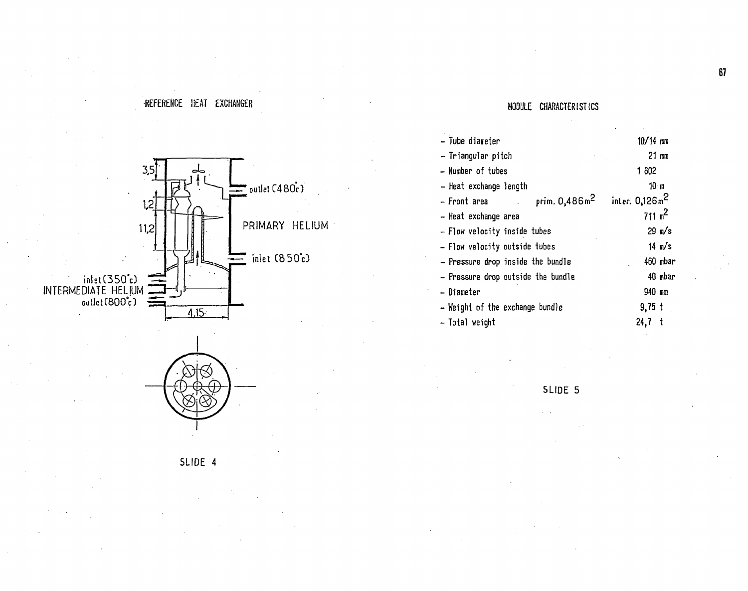# •REFERENCE litAT EXCHANGER





SLIDE 4

# MODULE CHARACTERISTICS

| - Tube diameter                                                            | $10/14$ mm        |
|----------------------------------------------------------------------------|-------------------|
| - Triangular pitch                                                         | $21 \, \text{mm}$ |
| - Number of tubes                                                          | 1 602             |
| - Heat exchange length                                                     | 10 m              |
| prim. $0,486$ m <sup>2</sup> inter. $0,126$ m <sup>2</sup><br>– Front area |                   |
| - Heat exchange area                                                       | $711 \text{ m}^2$ |
| — Flow velocity inside tubes                                               | $29$ m/s          |
| - Flow velocity outside tubes                                              | $14 \text{ m/s}$  |
| - Pressure drop inside the bundle                                          | 460 mbar          |
| - Pressure drop outside the bundle                                         | 40 mbar           |
| – Diameter                                                                 | 940 mm            |
| - Weight of the exchange bundle                                            | $9,75$ $\dagger$  |
| - Total weight                                                             | $24,7$ t          |
|                                                                            |                   |

SLIDE 5

67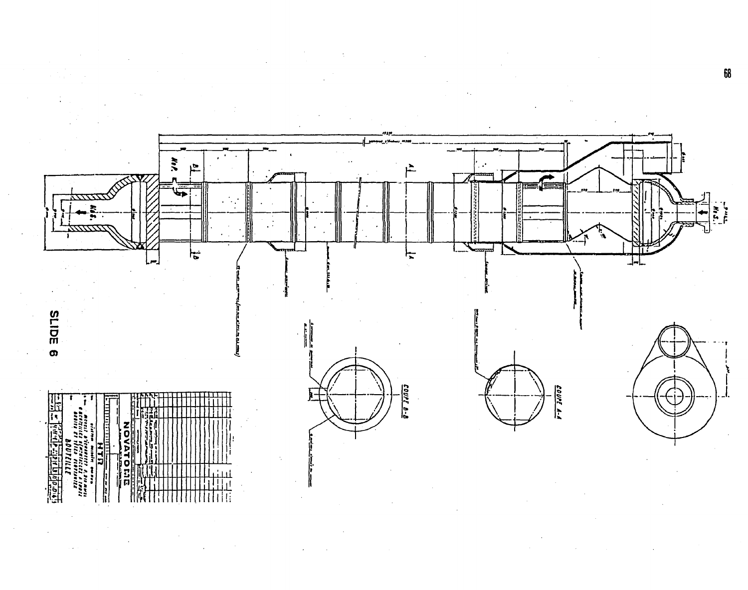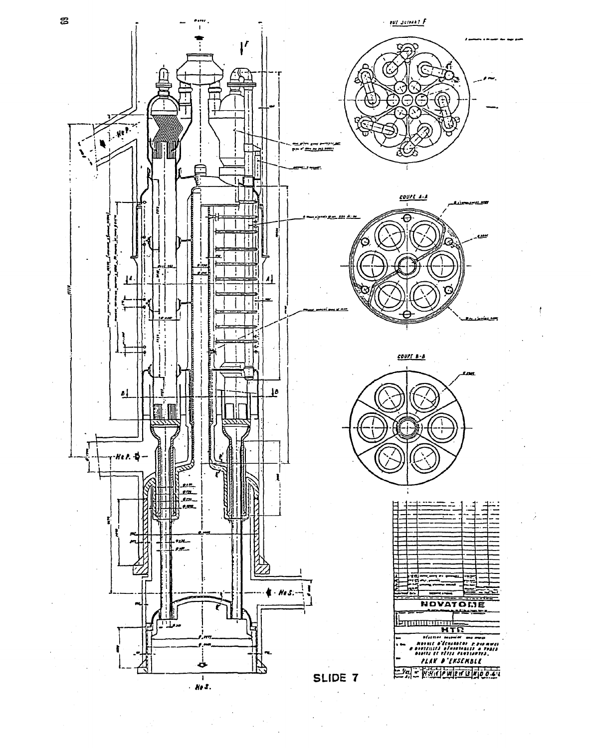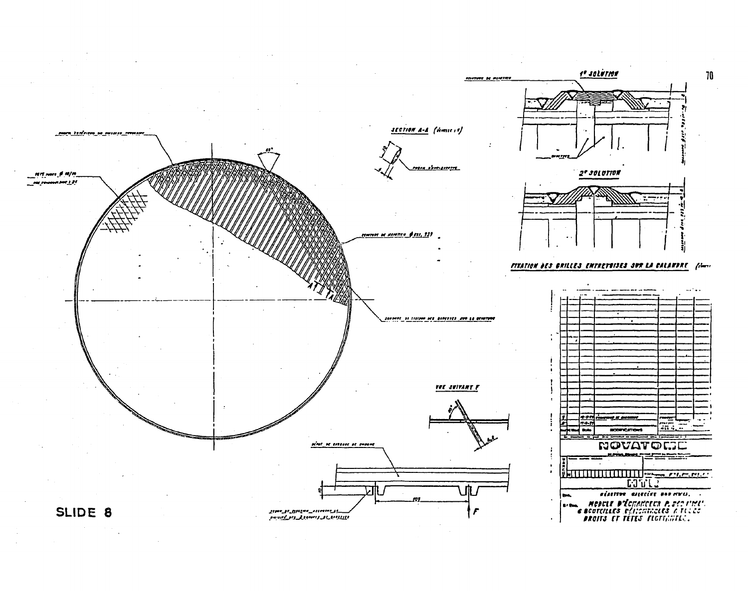